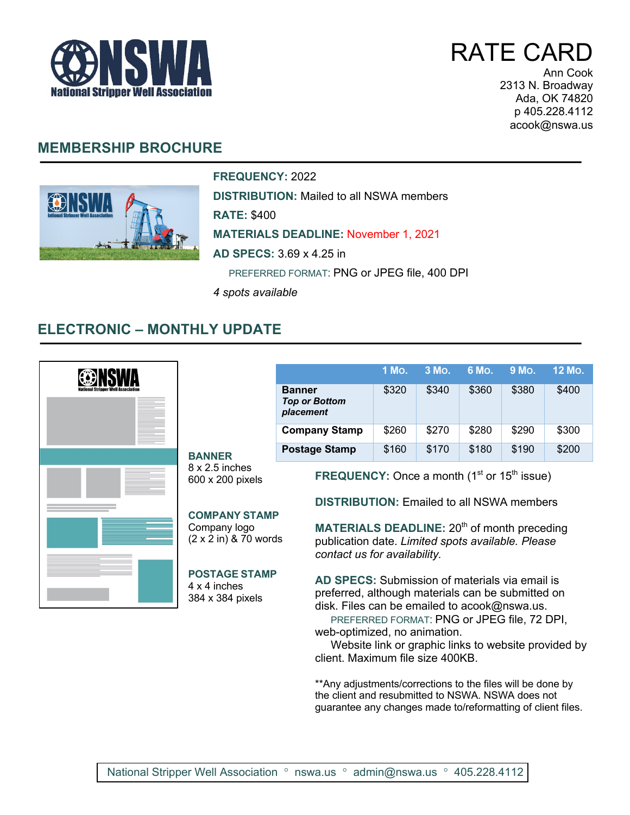

RATE CARD

Ann Cook 2313 N. Broadway Ada, OK 74820 p 405.228.4112 acook@nswa.us

## **MEMBERSHIP BROCHURE**



**FREQUENCY:** 2022

**DISTRIBUTION:** Mailed to all NSWA members

**RATE:** \$400

**MATERIALS DEADLINE:** November 1, 2021

**AD SPECS:** 3.69 x 4.25 in

PREFERRED FORMAT: PNG or JPEG file, 400 DPI

*4 spots available*

## **ELECTRONIC – MONTHLY UPDATE**

|  | <b>BANNER</b>                                                                                                                                                                                                                                                                                                                                                                                                                                                                                                                                                                                                                                             |                                                    | 1 Mo. | 3 Mo. | 6 Mo. | 9 Mo. | 12 Mo. |
|--|-----------------------------------------------------------------------------------------------------------------------------------------------------------------------------------------------------------------------------------------------------------------------------------------------------------------------------------------------------------------------------------------------------------------------------------------------------------------------------------------------------------------------------------------------------------------------------------------------------------------------------------------------------------|----------------------------------------------------|-------|-------|-------|-------|--------|
|  |                                                                                                                                                                                                                                                                                                                                                                                                                                                                                                                                                                                                                                                           | <b>Banner</b><br><b>Top or Bottom</b><br>placement | \$320 | \$340 | \$360 | \$380 | \$400  |
|  |                                                                                                                                                                                                                                                                                                                                                                                                                                                                                                                                                                                                                                                           | <b>Company Stamp</b>                               | \$260 | \$270 | \$280 | \$290 | \$300  |
|  |                                                                                                                                                                                                                                                                                                                                                                                                                                                                                                                                                                                                                                                           | <b>Postage Stamp</b>                               | \$160 | \$170 | \$180 | \$190 | \$200  |
|  | $8 \times 2.5$ inches<br><b>FREQUENCY:</b> Once a month $(1st$ or $15th$ issue)<br>600 x 200 pixels<br><b>DISTRIBUTION: Emailed to all NSWA members</b><br><b>COMPANY STAMP</b><br>MATERIALS DEADLINE: 20 <sup>th</sup> of month preceding<br>Company logo<br>$(2 \times 2 \text{ in})$ & 70 words<br>publication date. Limited spots available. Please<br>contact us for availability.<br><b>POSTAGE STAMP</b><br>AD SPECS: Submission of materials via email is<br>4 x 4 inches<br>preferred, although materials can be submitted on<br>384 x 384 pixels<br>disk. Files can be emailed to acook@nswa.us.<br>PREFERRED FORMAT: PNG or JPEG file, 72 DPI, |                                                    |       |       |       |       |        |

web-optimized, no animation.

 Website link or graphic links to website provided by client. Maximum file size 400KB.

\*\*Any adjustments/corrections to the files will be done by the client and resubmitted to NSWA. NSWA does not guarantee any changes made to/reformatting of client files.